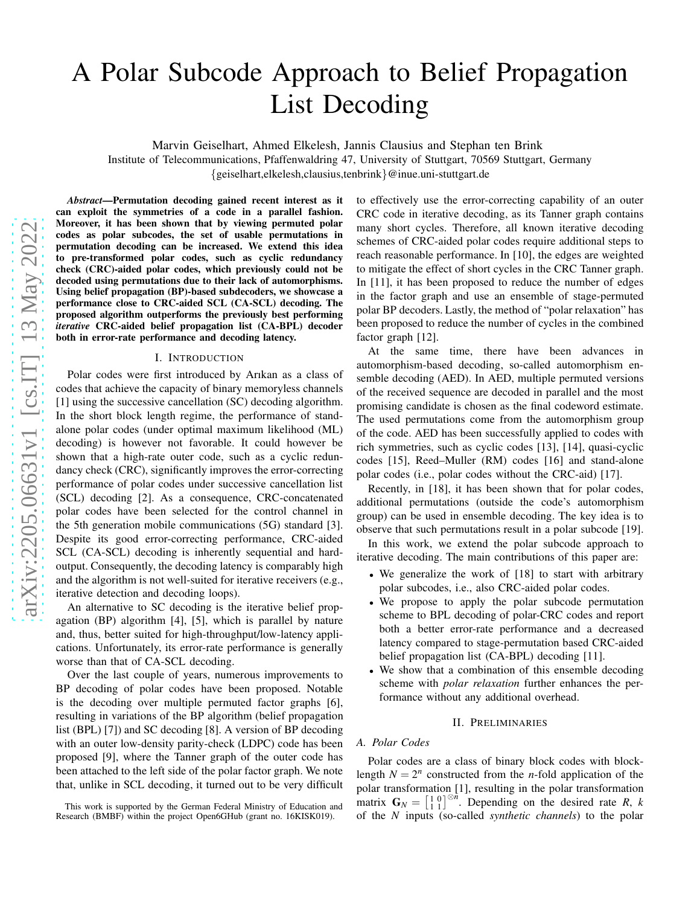# A Polar Subcode Approach to Belief Propagation List Decoding

Marvin Geiselhart, Ahmed Elkelesh, Jannis Clausius and Stephan ten Brink

Institute of Telecommunications, Pfaffenwaldring 47, University of Stuttgart, 70569 Stuttgart, Germany {geiselhart,elkelesh,clausius,tenbrink}@inue.uni-stuttgart.de

*Abstract*—Permutation decoding gained recent interest as it can exploit the symmetries of a code in a parallel fashion. Moreover, it has been shown that by viewing permuted polar codes as polar subcodes, the set of usable permutations in permutation decoding can be increased. We extend this idea to pre-transformed polar codes, such as cyclic redundancy check (CRC)-aided polar codes, which previously could not be decoded using permutations due to their lack of automorphisms. Using belief propagation (BP)-based subdecoders, we showcase a performance close to CRC-aided SCL (CA-SCL) decoding. The proposed algorithm outperforms the previously best performing *iterative* CRC-aided belief propagation list (CA-BPL) decoder both in error-rate performance and decoding latency.

#### I. INTRODUCTION

Polar codes were first introduced by Arıkan as a class of codes that achieve the capacity of binary memoryless channels [1] using the successive cancellation (SC) decoding algorithm. In the short block length regime, the performance of standalone polar codes (under optimal maximum likelihood (ML) decoding) is however not favorable. It could however be shown that a high-rate outer code, such as a cyclic redundancy check (CRC), significantly improves the error-correcting performance of polar codes under successive cancellation list (SCL) decoding [2]. As a consequence, CRC-concatenated polar codes have been selected for the control channel in the 5th generation mobile communications (5G) standard [3]. Despite its good error-correcting performance, CRC-aided SCL (CA-SCL) decoding is inherently sequential and hardoutput. Consequently, the decoding latency is comparably high and the algorithm is not well-suited for iterative receivers (e.g., iterative detection and decoding loops).

An alternative to SC decoding is the iterative belief propagation (BP) algorithm [4], [5], which is parallel by nature and, thus, better suited for high-throughput/low-latency applications. Unfortunately, its error-rate performance is generally worse than that of CA-SCL decoding.

Over the last couple of years, numerous improvements to BP decoding of polar codes have been proposed. Notable is the decoding over multiple permuted factor graphs [6], resulting in variations of the BP algorithm (belief propagation list (BPL) [7]) and SC decoding [8]. A version of BP decoding with an outer low-density parity-check (LDPC) code has been proposed [9], where the Tanner graph of the outer code has been attached to the left side of the polar factor graph. We note that, unlike in SCL decoding, it turned out to be very difficult to effectively use the error-correcting capability of an outer CRC code in iterative decoding, as its Tanner graph contains many short cycles. Therefore, all known iterative decoding schemes of CRC-aided polar codes require additional steps to reach reasonable performance. In [10], the edges are weighted to mitigate the effect of short cycles in the CRC Tanner graph. In [11], it has been proposed to reduce the number of edges in the factor graph and use an ensemble of stage-permuted polar BP decoders. Lastly, the method of "polar relaxation" has been proposed to reduce the number of cycles in the combined factor graph [12].

At the same time, there have been advances in automorphism-based decoding, so-called automorphism ensemble decoding (AED). In AED, multiple permuted versions of the received sequence are decoded in parallel and the most promising candidate is chosen as the final codeword estimate. The used permutations come from the automorphism group of the code. AED has been successfully applied to codes with rich symmetries, such as cyclic codes [13], [14], quasi-cyclic codes [15], Reed–Muller (RM) codes [16] and stand-alone polar codes (i.e., polar codes without the CRC-aid) [17].

Recently, in [18], it has been shown that for polar codes, additional permutations (outside the code's automorphism group) can be used in ensemble decoding. The key idea is to observe that such permutations result in a polar subcode [19].

In this work, we extend the polar subcode approach to iterative decoding. The main contributions of this paper are:

- We generalize the work of [18] to start with arbitrary polar subcodes, i.e., also CRC-aided polar codes.
- We propose to apply the polar subcode permutation scheme to BPL decoding of polar-CRC codes and report both a better error-rate performance and a decreased latency compared to stage-permutation based CRC-aided belief propagation list (CA-BPL) decoding [11].
- We show that a combination of this ensemble decoding scheme with *polar relaxation* further enhances the performance without any additional overhead.

## II. PRELIMINARIES

## *A. Polar Codes*

Polar codes are a class of binary block codes with blocklength  $N = 2^n$  constructed from the *n*-fold application of the polar transformation [1], resulting in the polar transformation matrix  $G_N = \begin{bmatrix} 1 & 0 \\ 1 & 1 \end{bmatrix}^{\otimes n}$ . Depending on the desired rate *R*, *k* of the *N* inputs (so-called *synthetic channels*) to the polar

This work is supported by the German Federal Ministry of Education and Research (BMBF) within the project Open6GHub (grant no. 16KISK019).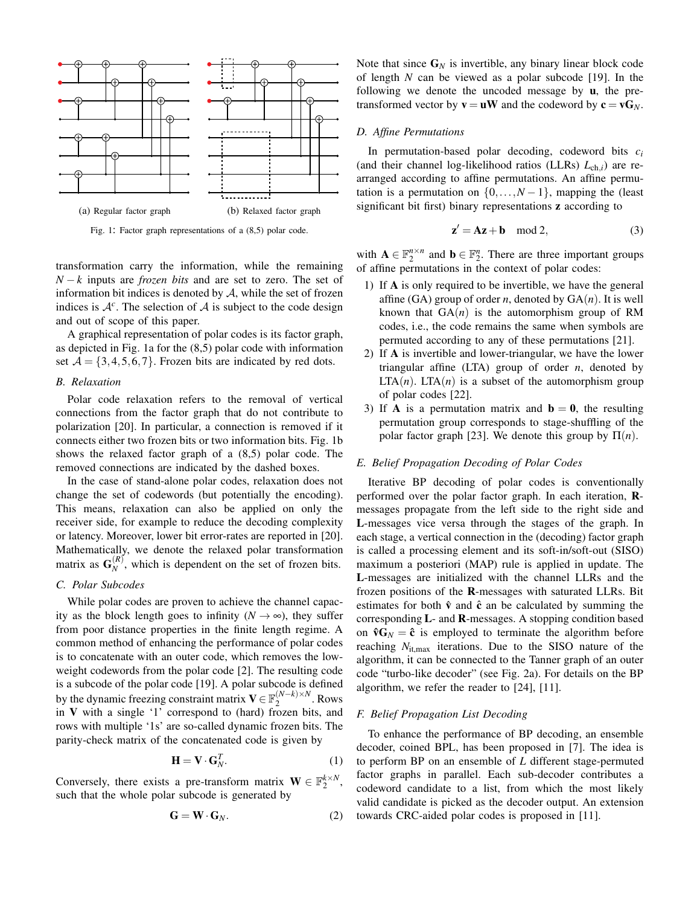

Fig. 1: Factor graph representations of a (8,5) polar code.

transformation carry the information, while the remaining *N* − *k* inputs are *frozen bits* and are set to zero. The set of information bit indices is denoted by  $A$ , while the set of frozen indices is  $A^c$ . The selection of A is subject to the code design and out of scope of this paper.

A graphical representation of polar codes is its factor graph, as depicted in Fig. 1a for the (8,5) polar code with information set  $A = \{3, 4, 5, 6, 7\}$ . Frozen bits are indicated by red dots.

## *B. Relaxation*

Polar code relaxation refers to the removal of vertical connections from the factor graph that do not contribute to polarization [20]. In particular, a connection is removed if it connects either two frozen bits or two information bits. Fig. 1b shows the relaxed factor graph of a (8,5) polar code. The removed connections are indicated by the dashed boxes.

In the case of stand-alone polar codes, relaxation does not change the set of codewords (but potentially the encoding). This means, relaxation can also be applied on only the receiver side, for example to reduce the decoding complexity or latency. Moreover, lower bit error-rates are reported in [20]. Mathematically, we denote the relaxed polar transformation matrix as  $\mathbf{G}_N^{(R)}$  $N<sub>N</sub>$ , which is dependent on the set of frozen bits.

# *C. Polar Subcodes*

While polar codes are proven to achieve the channel capacity as the block length goes to infinity ( $N \rightarrow \infty$ ), they suffer from poor distance properties in the finite length regime. A common method of enhancing the performance of polar codes is to concatenate with an outer code, which removes the lowweight codewords from the polar code [2]. The resulting code is a subcode of the polar code [19]. A polar subcode is defined by the dynamic freezing constraint matrix  $V \in \mathbb{F}_2^{(N-k) \times N}$  $2^{(N-K)\times N}$ . Rows in V with a single '1' correspond to (hard) frozen bits, and rows with multiple '1s' are so-called dynamic frozen bits. The parity-check matrix of the concatenated code is given by

$$
\mathbf{H} = \mathbf{V} \cdot \mathbf{G}_N^T. \tag{1}
$$

Conversely, there exists a pre-transform matrix  $\mathbf{W} \in \mathbb{F}_2^{k \times N}$ , such that the whole polar subcode is generated by

$$
\mathbf{G} = \mathbf{W} \cdot \mathbf{G}_N. \tag{2}
$$

Note that since  $G_N$  is invertible, any binary linear block code of length *N* can be viewed as a polar subcode [19]. In the following we denote the uncoded message by  $\mathbf{u}$ , the pretransformed vector by  $\mathbf{v} = \mathbf{u}\mathbf{W}$  and the codeword by  $\mathbf{c} = \mathbf{v}\mathbf{G}_N$ .

### *D. Affine Permutations*

In permutation-based polar decoding, codeword bits *c<sup>i</sup>* (and their channel log-likelihood ratios (LLRs) *L*ch,*i*) are rearranged according to affine permutations. An affine permutation is a permutation on  $\{0, \ldots, N-1\}$ , mapping the (least significant bit first) binary representations z according to

$$
\mathbf{z}' = \mathbf{A}\mathbf{z} + \mathbf{b} \mod 2,\tag{3}
$$

with  $A \in \mathbb{F}_2^{n \times n}$  and  $b \in \mathbb{F}_2^n$ . There are three important groups of affine permutations in the context of polar codes:

- 1) If A is only required to be invertible, we have the general affine  $(GA)$  group of order *n*, denoted by  $GA(n)$ . It is well known that  $GA(n)$  is the automorphism group of RM codes, i.e., the code remains the same when symbols are permuted according to any of these permutations [21].
- 2) If A is invertible and lower-triangular, we have the lower triangular affine (LTA) group of order *n*, denoted by  $LTA(n)$ .  $LTA(n)$  is a subset of the automorphism group of polar codes [22].
- 3) If **A** is a permutation matrix and  $\mathbf{b} = \mathbf{0}$ , the resulting permutation group corresponds to stage-shuffling of the polar factor graph [23]. We denote this group by  $\Pi(n)$ .

#### *E. Belief Propagation Decoding of Polar Codes*

Iterative BP decoding of polar codes is conventionally performed over the polar factor graph. In each iteration, Rmessages propagate from the left side to the right side and L-messages vice versa through the stages of the graph. In each stage, a vertical connection in the (decoding) factor graph is called a processing element and its soft-in/soft-out (SISO) maximum a posteriori (MAP) rule is applied in update. The L-messages are initialized with the channel LLRs and the frozen positions of the R-messages with saturated LLRs. Bit estimates for both  $\hat{v}$  and  $\hat{c}$  an be calculated by summing the corresponding L- and R-messages. A stopping condition based on  $\mathbf{\hat{v}}\mathbf{G}_N = \mathbf{\hat{c}}$  is employed to terminate the algorithm before reaching  $N_{\text{it,max}}$  iterations. Due to the SISO nature of the algorithm, it can be connected to the Tanner graph of an outer code "turbo-like decoder" (see Fig. 2a). For details on the BP algorithm, we refer the reader to [24], [11].

#### *F. Belief Propagation List Decoding*

To enhance the performance of BP decoding, an ensemble decoder, coined BPL, has been proposed in [7]. The idea is to perform BP on an ensemble of *L* different stage-permuted factor graphs in parallel. Each sub-decoder contributes a codeword candidate to a list, from which the most likely valid candidate is picked as the decoder output. An extension towards CRC-aided polar codes is proposed in [11].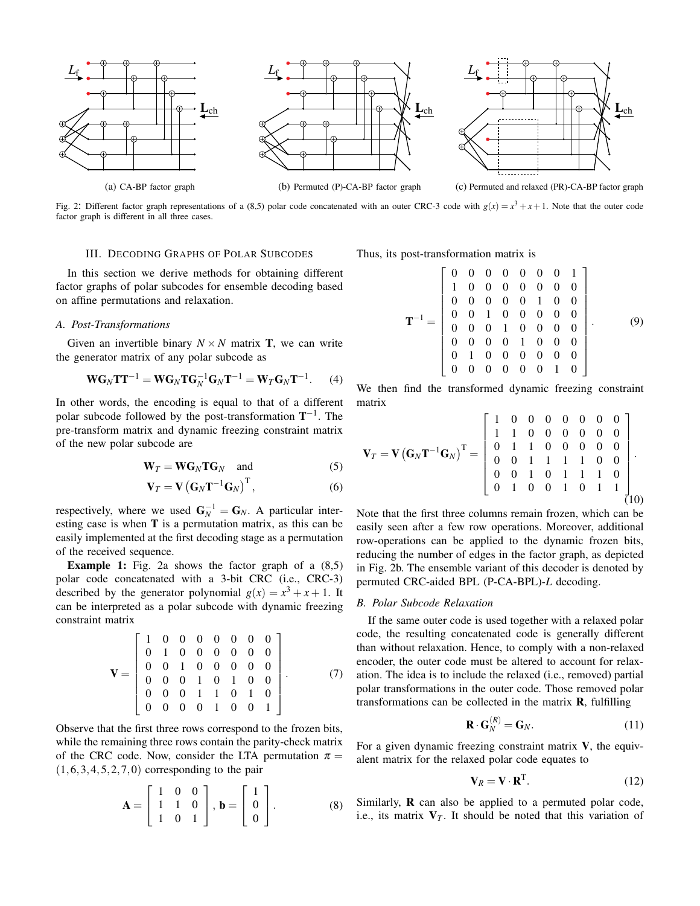



(c) Permuted and relaxed (PR)-CA-BP factor graph

Fig. 2: Different factor graph representations of a (8,5) polar code concatenated with an outer CRC-3 code with  $g(x) = x^3 + x + 1$ . Note that the outer code factor graph is different in all three cases.

## III. DECODING GRAPHS OF POLAR SUBCODES

In this section we derive methods for obtaining different factor graphs of polar subcodes for ensemble decoding based on affine permutations and relaxation.

#### *A. Post-Transformations*

Given an invertible binary  $N \times N$  matrix **T**, we can write the generator matrix of any polar subcode as

$$
\mathbf{W}\mathbf{G}_N\mathbf{T}\mathbf{T}^{-1} = \mathbf{W}\mathbf{G}_N\mathbf{T}\mathbf{G}_N^{-1}\mathbf{G}_N\mathbf{T}^{-1} = \mathbf{W}_T\mathbf{G}_N\mathbf{T}^{-1}.
$$
 (4)

In other words, the encoding is equal to that of a different polar subcode followed by the post-transformation  $T^{-1}$ . The pre-transform matrix and dynamic freezing constraint matrix of the new polar subcode are

$$
\mathbf{W}_T = \mathbf{W} \mathbf{G}_N \mathbf{T} \mathbf{G}_N \quad \text{and} \tag{5}
$$

$$
\mathbf{V}_T = \mathbf{V} \left( \mathbf{G}_N \mathbf{T}^{-1} \mathbf{G}_N \right)^{\mathrm{T}}, \tag{6}
$$

respectively, where we used  $G_N^{-1} = G_N$ . A particular interesting case is when T is a permutation matrix, as this can be easily implemented at the first decoding stage as a permutation of the received sequence.

Example 1: Fig. 2a shows the factor graph of a  $(8,5)$ polar code concatenated with a 3-bit CRC (i.e., CRC-3) described by the generator polynomial  $g(x) = x^3 + x + 1$ . It can be interpreted as a polar subcode with dynamic freezing constraint matrix

$$
\mathbf{V} = \left[ \begin{array}{ccccccc} 1 & 0 & 0 & 0 & 0 & 0 & 0 & 0 \\ 0 & 1 & 0 & 0 & 0 & 0 & 0 & 0 \\ 0 & 0 & 1 & 0 & 0 & 0 & 0 & 0 \\ 0 & 0 & 0 & 1 & 0 & 1 & 0 & 0 \\ 0 & 0 & 0 & 1 & 1 & 0 & 1 & 0 \\ 0 & 0 & 0 & 0 & 1 & 0 & 0 & 1 \end{array} \right].
$$
 (7)

Observe that the first three rows correspond to the frozen bits, while the remaining three rows contain the parity-check matrix of the CRC code. Now, consider the LTA permutation  $\pi$  =  $(1,6,3,4,5,2,7,0)$  corresponding to the pair

$$
\mathbf{A} = \begin{bmatrix} 1 & 0 & 0 \\ 1 & 1 & 0 \\ 1 & 0 & 1 \end{bmatrix}, \mathbf{b} = \begin{bmatrix} 1 \\ 0 \\ 0 \end{bmatrix}.
$$
 (8)

Thus, its post-transformation matrix is

$$
\mathbf{T}^{-1} = \begin{bmatrix} 0 & 0 & 0 & 0 & 0 & 0 & 0 & 1 \\ 1 & 0 & 0 & 0 & 0 & 0 & 0 & 0 \\ 0 & 0 & 0 & 0 & 0 & 1 & 0 & 0 \\ 0 & 0 & 1 & 0 & 0 & 0 & 0 & 0 \\ 0 & 0 & 0 & 1 & 0 & 0 & 0 & 0 \\ 0 & 0 & 0 & 0 & 1 & 0 & 0 & 0 \\ 0 & 1 & 0 & 0 & 0 & 0 & 0 & 0 \\ 0 & 0 & 0 & 0 & 0 & 0 & 1 & 0 \end{bmatrix}.
$$
 (9)

We then find the transformed dynamic freezing constraint matrix

$$
\mathbf{V}_T = \mathbf{V} (\mathbf{G}_N \mathbf{T}^{-1} \mathbf{G}_N)^{\mathrm{T}} = \begin{bmatrix} 1 & 0 & 0 & 0 & 0 & 0 & 0 & 0 \\ 1 & 1 & 0 & 0 & 0 & 0 & 0 & 0 \\ 0 & 1 & 1 & 0 & 0 & 0 & 0 & 0 \\ 0 & 0 & 1 & 1 & 1 & 1 & 0 & 0 \\ 0 & 0 & 1 & 0 & 1 & 1 & 1 & 0 \\ 0 & 1 & 0 & 0 & 1 & 0 & 1 & 1 \end{bmatrix}.
$$
 (10)

Note that the first three columns remain frozen, which can be easily seen after a few row operations. Moreover, additional row-operations can be applied to the dynamic frozen bits, reducing the number of edges in the factor graph, as depicted in Fig. 2b. The ensemble variant of this decoder is denoted by permuted CRC-aided BPL (P-CA-BPL)-*L* decoding.

#### *B. Polar Subcode Relaxation*

If the same outer code is used together with a relaxed polar code, the resulting concatenated code is generally different than without relaxation. Hence, to comply with a non-relaxed encoder, the outer code must be altered to account for relaxation. The idea is to include the relaxed (i.e., removed) partial polar transformations in the outer code. Those removed polar transformations can be collected in the matrix R, fulfilling

$$
\mathbf{R} \cdot \mathbf{G}_N^{(R)} = \mathbf{G}_N. \tag{11}
$$

For a given dynamic freezing constraint matrix  $V$ , the equivalent matrix for the relaxed polar code equates to

$$
\mathbf{V}_R = \mathbf{V} \cdot \mathbf{R}^{\mathrm{T}}.\tag{12}
$$

Similarly, R can also be applied to a permuted polar code, i.e., its matrix  $V_T$ . It should be noted that this variation of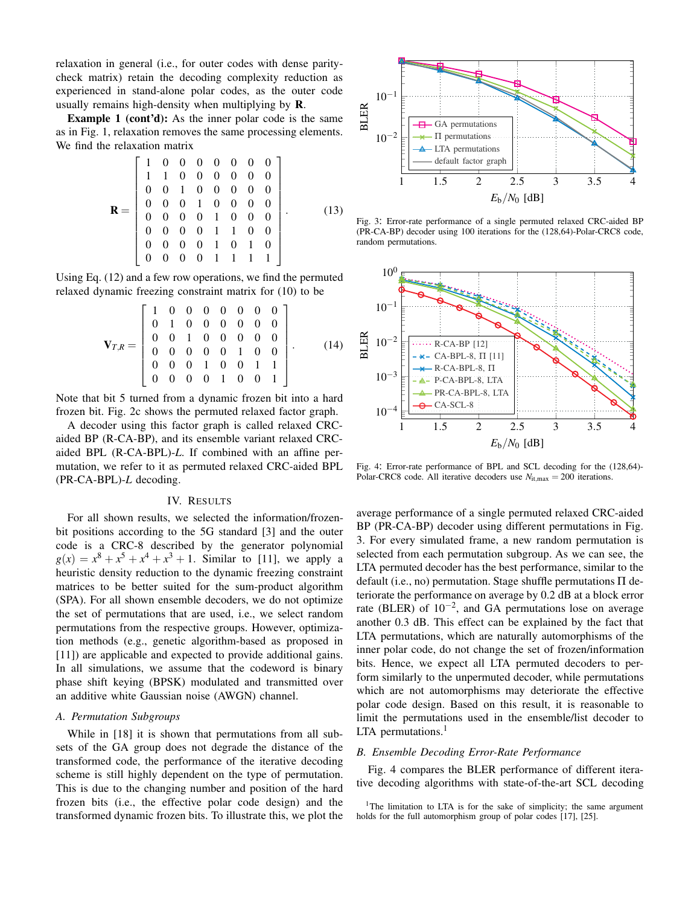relaxation in general (i.e., for outer codes with dense paritycheck matrix) retain the decoding complexity reduction as experienced in stand-alone polar codes, as the outer code usually remains high-density when multiplying by R.

Example 1 (cont'd): As the inner polar code is the same as in Fig. 1, relaxation removes the same processing elements. We find the relaxation matrix

$$
\mathbf{R} = \begin{bmatrix} 1 & 0 & 0 & 0 & 0 & 0 & 0 & 0 \\ 1 & 1 & 0 & 0 & 0 & 0 & 0 & 0 \\ 0 & 0 & 1 & 0 & 0 & 0 & 0 & 0 \\ 0 & 0 & 0 & 1 & 0 & 0 & 0 & 0 \\ 0 & 0 & 0 & 0 & 1 & 0 & 0 & 0 \\ 0 & 0 & 0 & 0 & 1 & 1 & 0 & 0 \\ 0 & 0 & 0 & 0 & 1 & 0 & 1 & 0 \\ 0 & 0 & 0 & 0 & 1 & 1 & 1 & 1 \end{bmatrix} . \tag{13}
$$

Using Eq. (12) and a few row operations, we find the permuted relaxed dynamic freezing constraint matrix for (10) to be

$$
\mathbf{V}_{T,R} = \begin{bmatrix} 1 & 0 & 0 & 0 & 0 & 0 & 0 & 0 \\ 0 & 1 & 0 & 0 & 0 & 0 & 0 & 0 \\ 0 & 0 & 1 & 0 & 0 & 0 & 0 & 0 \\ 0 & 0 & 0 & 0 & 0 & 1 & 0 & 0 \\ 0 & 0 & 0 & 1 & 0 & 0 & 1 & 1 \\ 0 & 0 & 0 & 0 & 1 & 0 & 0 & 1 \end{bmatrix} . \tag{14}
$$

Note that bit 5 turned from a dynamic frozen bit into a hard frozen bit. Fig. 2c shows the permuted relaxed factor graph.

A decoder using this factor graph is called relaxed CRCaided BP (R-CA-BP), and its ensemble variant relaxed CRCaided BPL (R-CA-BPL)-*L*. If combined with an affine permutation, we refer to it as permuted relaxed CRC-aided BPL (PR-CA-BPL)-*L* decoding.

## IV. RESULTS

For all shown results, we selected the information/frozenbit positions according to the 5G standard [3] and the outer code is a CRC-8 described by the generator polynomial  $g(x) = x^8 + x^5 + x^4 + x^3 + 1$ . Similar to [11], we apply a heuristic density reduction to the dynamic freezing constraint matrices to be better suited for the sum-product algorithm (SPA). For all shown ensemble decoders, we do not optimize the set of permutations that are used, i.e., we select random permutations from the respective groups. However, optimization methods (e.g., genetic algorithm-based as proposed in [11]) are applicable and expected to provide additional gains. In all simulations, we assume that the codeword is binary phase shift keying (BPSK) modulated and transmitted over an additive white Gaussian noise (AWGN) channel.

# *A. Permutation Subgroups*

While in [18] it is shown that permutations from all subsets of the GA group does not degrade the distance of the transformed code, the performance of the iterative decoding scheme is still highly dependent on the type of permutation. This is due to the changing number and position of the hard frozen bits (i.e., the effective polar code design) and the transformed dynamic frozen bits. To illustrate this, we plot the



Fig. 3: Error-rate performance of a single permuted relaxed CRC-aided BP (PR-CA-BP) decoder using 100 iterations for the (128,64)-Polar-CRC8 code, random permutations.



Fig. 4: Error-rate performance of BPL and SCL decoding for the (128,64)- Polar-CRC8 code. All iterative decoders use  $N_{\text{it},\text{max}} = 200$  iterations.

average performance of a single permuted relaxed CRC-aided BP (PR-CA-BP) decoder using different permutations in Fig. 3. For every simulated frame, a new random permutation is selected from each permutation subgroup. As we can see, the LTA permuted decoder has the best performance, similar to the default (i.e., no) permutation. Stage shuffle permutations Π deteriorate the performance on average by 0.2 dB at a block error rate (BLER) of  $10^{-2}$ , and GA permutations lose on average another 0.3 dB. This effect can be explained by the fact that LTA permutations, which are naturally automorphisms of the inner polar code, do not change the set of frozen/information bits. Hence, we expect all LTA permuted decoders to perform similarly to the unpermuted decoder, while permutations which are not automorphisms may deteriorate the effective polar code design. Based on this result, it is reasonable to limit the permutations used in the ensemble/list decoder to LTA permutations. $<sup>1</sup>$ </sup>

#### *B. Ensemble Decoding Error-Rate Performance*

Fig. 4 compares the BLER performance of different iterative decoding algorithms with state-of-the-art SCL decoding

<sup>&</sup>lt;sup>1</sup>The limitation to LTA is for the sake of simplicity; the same argument holds for the full automorphism group of polar codes [17], [25].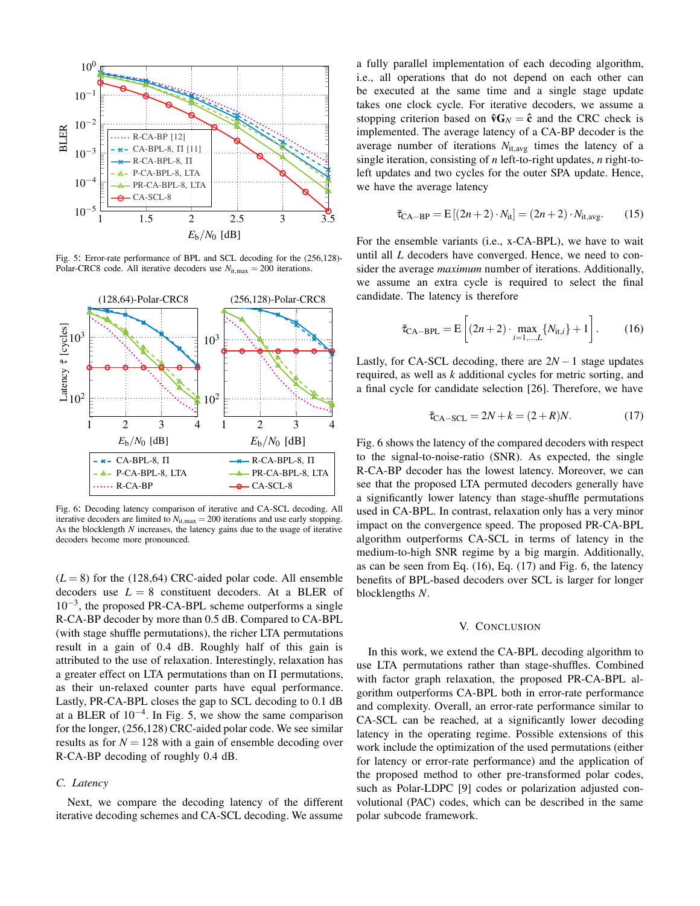

Fig. 5: Error-rate performance of BPL and SCL decoding for the (256,128)- Polar-CRC8 code. All iterative decoders use  $N_{\text{it,max}} = 200$  iterations.



Fig. 6: Decoding latency comparison of iterative and CA-SCL decoding. All iterative decoders are limited to  $N_{\text{it,max}} = 200$  iterations and use early stopping. As the blocklength *N* increases, the latency gains due to the usage of iterative decoders become more pronounced.

 $(L = 8)$  for the (128,64) CRC-aided polar code. All ensemble decoders use  $L = 8$  constituent decoders. At a BLER of 10−<sup>3</sup> , the proposed PR-CA-BPL scheme outperforms a single R-CA-BP decoder by more than 0.5 dB. Compared to CA-BPL (with stage shuffle permutations), the richer LTA permutations result in a gain of 0.4 dB. Roughly half of this gain is attributed to the use of relaxation. Interestingly, relaxation has a greater effect on LTA permutations than on Π permutations, as their un-relaxed counter parts have equal performance. Lastly, PR-CA-BPL closes the gap to SCL decoding to 0.1 dB at a BLER of  $10^{-4}$ . In Fig. 5, we show the same comparison for the longer, (256,128) CRC-aided polar code. We see similar results as for  $N = 128$  with a gain of ensemble decoding over R-CA-BP decoding of roughly 0.4 dB.

# *C. Latency*

Next, we compare the decoding latency of the different iterative decoding schemes and CA-SCL decoding. We assume a fully parallel implementation of each decoding algorithm, i.e., all operations that do not depend on each other can be executed at the same time and a single stage update takes one clock cycle. For iterative decoders, we assume a stopping criterion based on  $\mathbf{\hat{v}} \mathbf{G}_N = \mathbf{\hat{c}}$  and the CRC check is implemented. The average latency of a CA-BP decoder is the average number of iterations  $N_{it,avg}$  times the latency of a single iteration, consisting of *n* left-to-right updates, *n* right-toleft updates and two cycles for the outer SPA update. Hence, we have the average latency

$$
\bar{\tau}_{\text{CA-BP}} = E[(2n+2) \cdot N_{\text{it}}] = (2n+2) \cdot N_{\text{it,avg}}.
$$
 (15)

For the ensemble variants (i.e., x-CA-BPL), we have to wait until all *L* decoders have converged. Hence, we need to consider the average *maximum* number of iterations. Additionally, we assume an extra cycle is required to select the final candidate. The latency is therefore

$$
\bar{\tau}_{\text{CA-BPL}} = E\left[ (2n+2) \cdot \max_{i=1,\dots,L} \{ N_{\text{it},i} \} + 1 \right].
$$
 (16)

Lastly, for CA-SCL decoding, there are  $2N-1$  stage updates required, as well as *k* additional cycles for metric sorting, and a final cycle for candidate selection [26]. Therefore, we have

$$
\bar{\tau}_{\text{CA-SCL}} = 2N + k = (2 + R)N. \tag{17}
$$

Fig. 6 shows the latency of the compared decoders with respect to the signal-to-noise-ratio (SNR). As expected, the single R-CA-BP decoder has the lowest latency. Moreover, we can see that the proposed LTA permuted decoders generally have a significantly lower latency than stage-shuffle permutations used in CA-BPL. In contrast, relaxation only has a very minor impact on the convergence speed. The proposed PR-CA-BPL algorithm outperforms CA-SCL in terms of latency in the medium-to-high SNR regime by a big margin. Additionally, as can be seen from Eq. (16), Eq. (17) and Fig. 6, the latency benefits of BPL-based decoders over SCL is larger for longer blocklengths *N*.

## V. CONCLUSION

In this work, we extend the CA-BPL decoding algorithm to use LTA permutations rather than stage-shuffles. Combined with factor graph relaxation, the proposed PR-CA-BPL algorithm outperforms CA-BPL both in error-rate performance and complexity. Overall, an error-rate performance similar to CA-SCL can be reached, at a significantly lower decoding latency in the operating regime. Possible extensions of this work include the optimization of the used permutations (either for latency or error-rate performance) and the application of the proposed method to other pre-transformed polar codes, such as Polar-LDPC [9] codes or polarization adjusted convolutional (PAC) codes, which can be described in the same polar subcode framework.